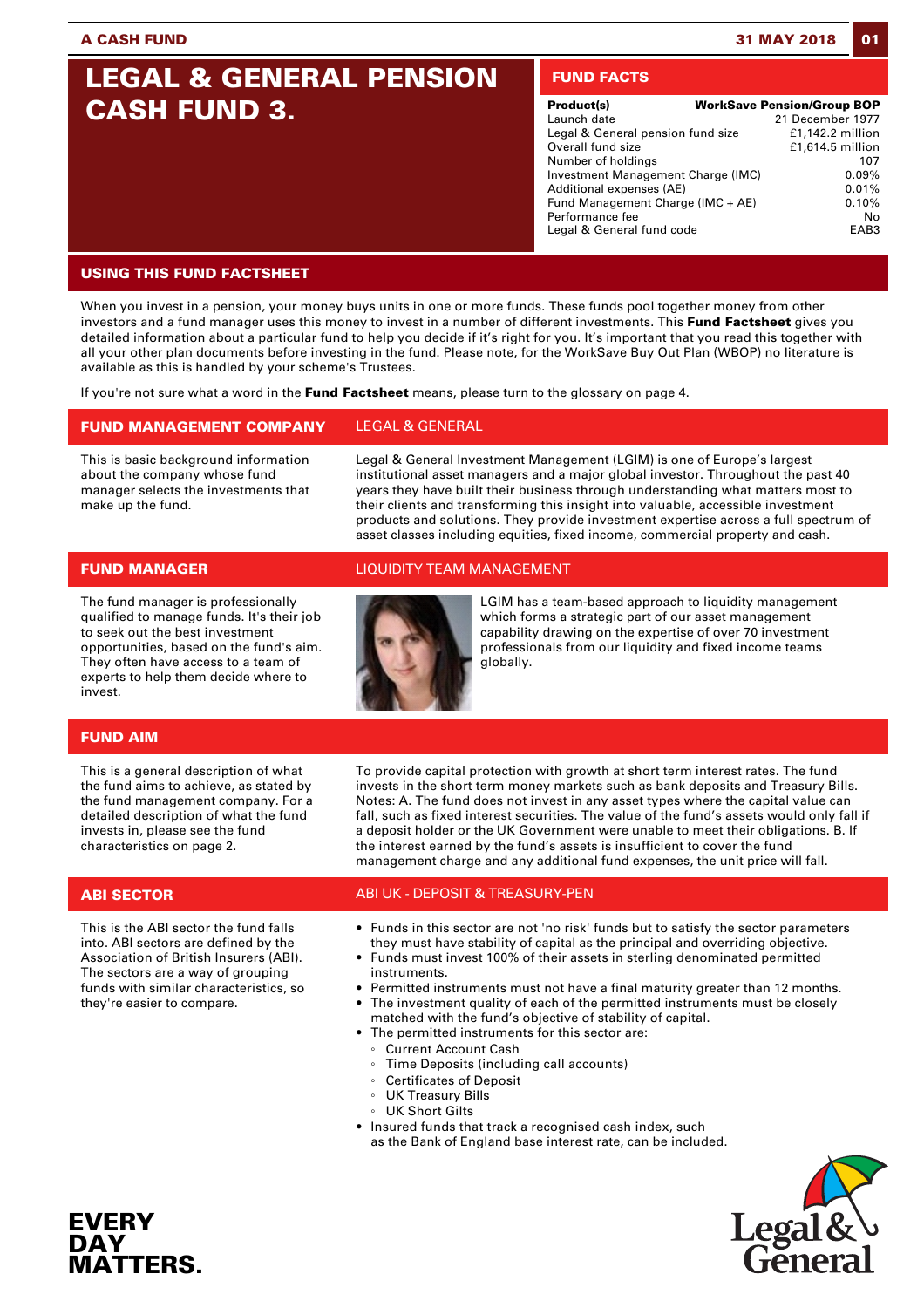# **LEGAL & GENERAL PENSION CASH FUND 3.**

# **FUND FACTS**

| Product(s)                         | <b>WorkSave Pension/Group BOP</b> |
|------------------------------------|-----------------------------------|
| Launch date                        | 21 December 1977                  |
| Legal & General pension fund size  | $£1,142.2$ million                |
| Overall fund size                  | £1,614.5 million                  |
| Number of holdings                 | 107                               |
| Investment Management Charge (IMC) | 0.09%                             |
| Additional expenses (AE)           | 0.01%                             |
| Fund Management Charge (IMC + AE)  | 0.10%                             |
| Performance fee                    | No                                |
| Legal & General fund code          | FAR3                              |

# **USING THIS FUND FACTSHEET**

When you invest in a pension, your money buys units in one or more funds. These funds pool together money from other investors and a fund manager uses this money to invest in a number of different investments. This **Fund Factsheet** gives you detailed information about a particular fund to help you decide if it's right for you. It's important that you read this together with all your other plan documents before investing in the fund. Please note, for the WorkSave Buy Out Plan (WBOP) no literature is available as this is handled by your scheme's Trustees.

If you're not sure what a word in the **Fund Factsheet** means, please turn to the glossary on page 4.

# **FUND MANAGEMENT COMPANY** LEGAL & GENERAL

This is basic background information about the company whose fund manager selects the investments that make up the fund.

Legal & General Investment Management (LGIM) is one of Europe's largest institutional asset managers and a major global investor. Throughout the past 40 years they have built their business through understanding what matters most to their clients and transforming this insight into valuable, accessible investment products and solutions. They provide investment expertise across a full spectrum of asset classes including equities, fixed income, commercial property and cash.

The fund manager is professionally qualified to manage funds. It's their job to seek out the best investment opportunities, based on the fund's aim. They often have access to a team of experts to help them decide where to invest.

# **FUND MANAGER** LIQUIDITY TEAM MANAGEMENT



LGIM has a team-based approach to liquidity management which forms a strategic part of our asset management capability drawing on the expertise of over 70 investment professionals from our liquidity and fixed income teams globally.

# **FUND AIM**

This is a general description of what the fund aims to achieve, as stated by the fund management company. For a detailed description of what the fund invests in, please see the fund characteristics on page 2.

**EVERY DAY**

**MATTERS.** 

This is the ABI sector the fund falls into. ABI sectors are defined by the Association of British Insurers (ABI). The sectors are a way of grouping funds with similar characteristics, so they're easier to compare.

To provide capital protection with growth at short term interest rates. The fund invests in the short term money markets such as bank deposits and Treasury Bills. Notes: A. The fund does not invest in any asset types where the capital value can fall, such as fixed interest securities. The value of the fund's assets would only fall if a deposit holder or the UK Government were unable to meet their obligations. B. If the interest earned by the fund's assets is insufficient to cover the fund management charge and any additional fund expenses, the unit price will fall.

# **ABI SECTOR** ABI UK - DEPOSIT & TREASURY-PEN

- Funds in this sector are not 'no risk' funds but to satisfy the sector parameters they must have stability of capital as the principal and overriding objective.
- Funds must invest 100% of their assets in sterling denominated permitted instruments.
- Permitted instruments must not have a final maturity greater than 12 months.
- The investment quality of each of the permitted instruments must be closely matched with the fund's objective of stability of capital.
- The permitted instruments for this sector are:
- Current Account Cash
	- Time Deposits (including call accounts)
- Certificates of Deposit
- UK Treasury Bills
- UK Short Gilts
- Insured funds that track a recognised cash index, such as the Bank of England base interest rate, can be included.

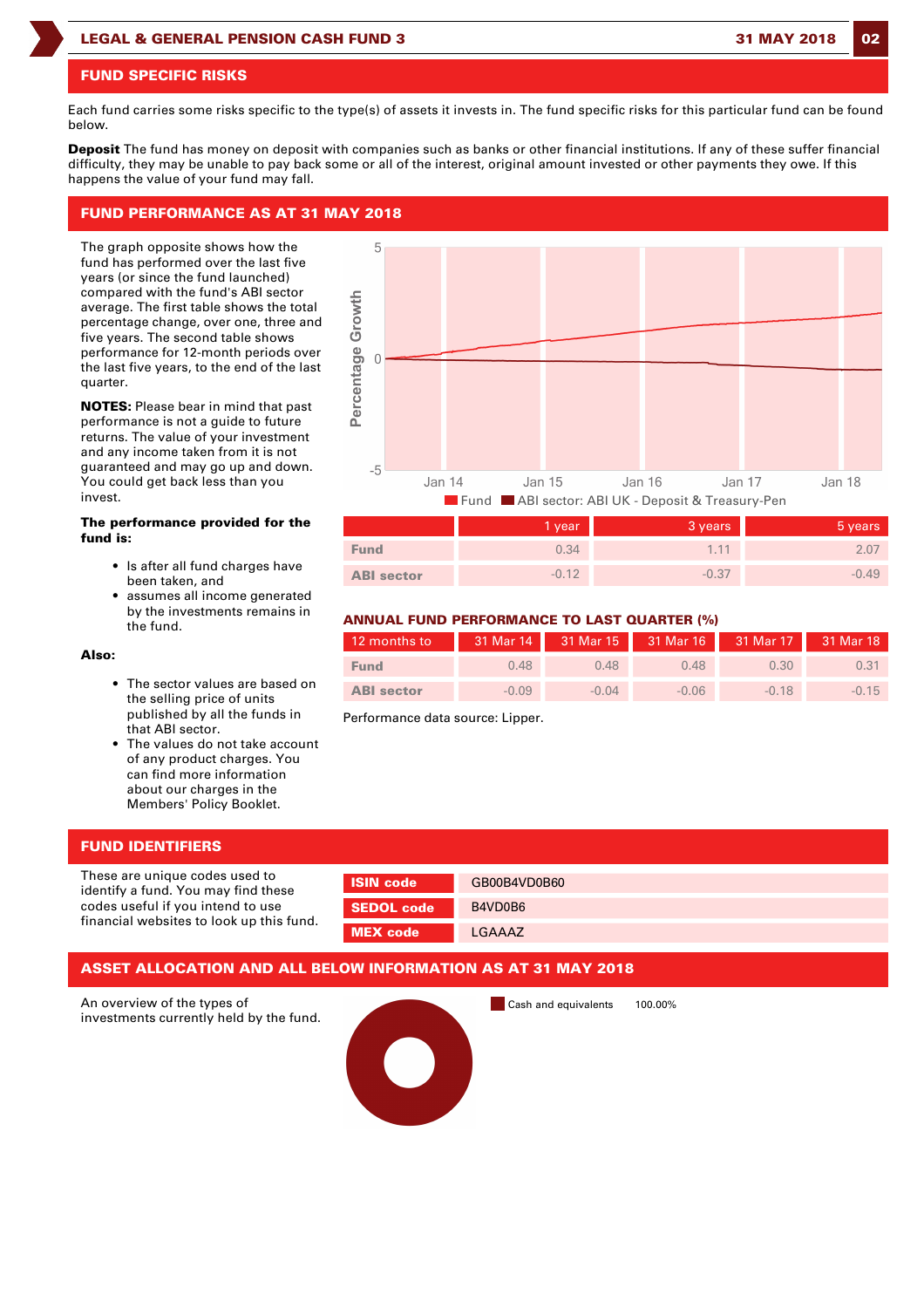### **LEGAL & GENERAL PENSION CASH FUND 3 31 MAY 2018 02**

### **FUND SPECIFIC RISKS**

Each fund carries some risks specific to the type(s) of assets it invests in. The fund specific risks for this particular fund can be found below.

**Deposit** The fund has money on deposit with companies such as banks or other financial institutions. If any of these suffer financial difficulty, they may be unable to pay back some or all of the interest, original amount invested or other payments they owe. If this happens the value of your fund may fall.

5

Percentage Growth

# **FUND PERFORMANCE AS AT 31 MAY 2018**

The graph opposite shows how the fund has performed over the last five years (or since the fund launched) compared with the fund's ABI sector average. The first table shows the total percentage change, over one, three and five years. The second table shows performance for 12-month periods over the last five years, to the end of the last quarter.

**NOTES:** Please bear in mind that past performance is not a guide to future returns. The value of your investment and any income taken from it is not guaranteed and may go up and down. You could get back less than you invest.

### **The performance provided for the fund is:**

- Is after all fund charges have been taken, and
- assumes all income generated by the investments remains in the fund.

### **Also:**

- The sector values are based on the selling price of units published by all the funds in that ABI sector.
- The values do not take account of any product charges. You can find more information about our charges in the Members' Policy Booklet.

# **FUND IDENTIFIERS**

These are unique codes used to identify a fund. You may find these codes useful if you intend to use financial websites to look up this fund.

| <b>SIN code</b> | GB00B4VD0B60 |
|-----------------|--------------|
| SEDOL code      | B4VD0B6      |
| <b>MEX</b> code | LGAAAZ       |

### **ASSET ALLOCATION AND ALL BELOW INFORMATION AS AT 31 MAY 2018**

An overview of the types of investments currently held by the fund. Cash and equivalents 100.00%

|                   | Fund ABI sector: ABI UK - Deposit & Treasury-Pen |         |         |  |  |
|-------------------|--------------------------------------------------|---------|---------|--|--|
|                   | 1 year                                           | 3 years | 5 years |  |  |
| <b>Fund</b>       | 0.34                                             | 1.11    | 2.07    |  |  |
| <b>ABI</b> sector | $-0.12$                                          | $-0.37$ | $-0.49$ |  |  |
|                   |                                                  |         |         |  |  |

# **ANNUAL FUND PERFORMANCE TO LAST QUARTER (%)**

| 12 months to      |         | 31 Mar 14 31 Mar 15 31 Mar 16 31 Mar 17 31 Mar 18 |         |         |         |
|-------------------|---------|---------------------------------------------------|---------|---------|---------|
| <b>Fund</b>       | 0.48    | 0.48                                              | 0.48    | 0.30    | 0.31    |
| <b>ABI</b> sector | $-0.09$ | $-0.04$                                           | $-0.06$ | $-0.18$ | $-0.15$ |

Performance data source: Lipper.

 $\sqrt{ }$  $-5$ Jan 14 **Jan 15 Jan 16** Jan 17

| 12 months to      |         |         | 31 Mar 14 31 Mar 15 31 Mar 16 31 Mar 17 31 Mar 18 |         |         |
|-------------------|---------|---------|---------------------------------------------------|---------|---------|
| <b>Fund</b>       | 0.48    | 0.48    | 0.48                                              | 0.30    | 0.31    |
| <b>ABI</b> sector | $-0.09$ | $-0.04$ | $-0.06$                                           | $-0.18$ | $-0.15$ |

Jan 18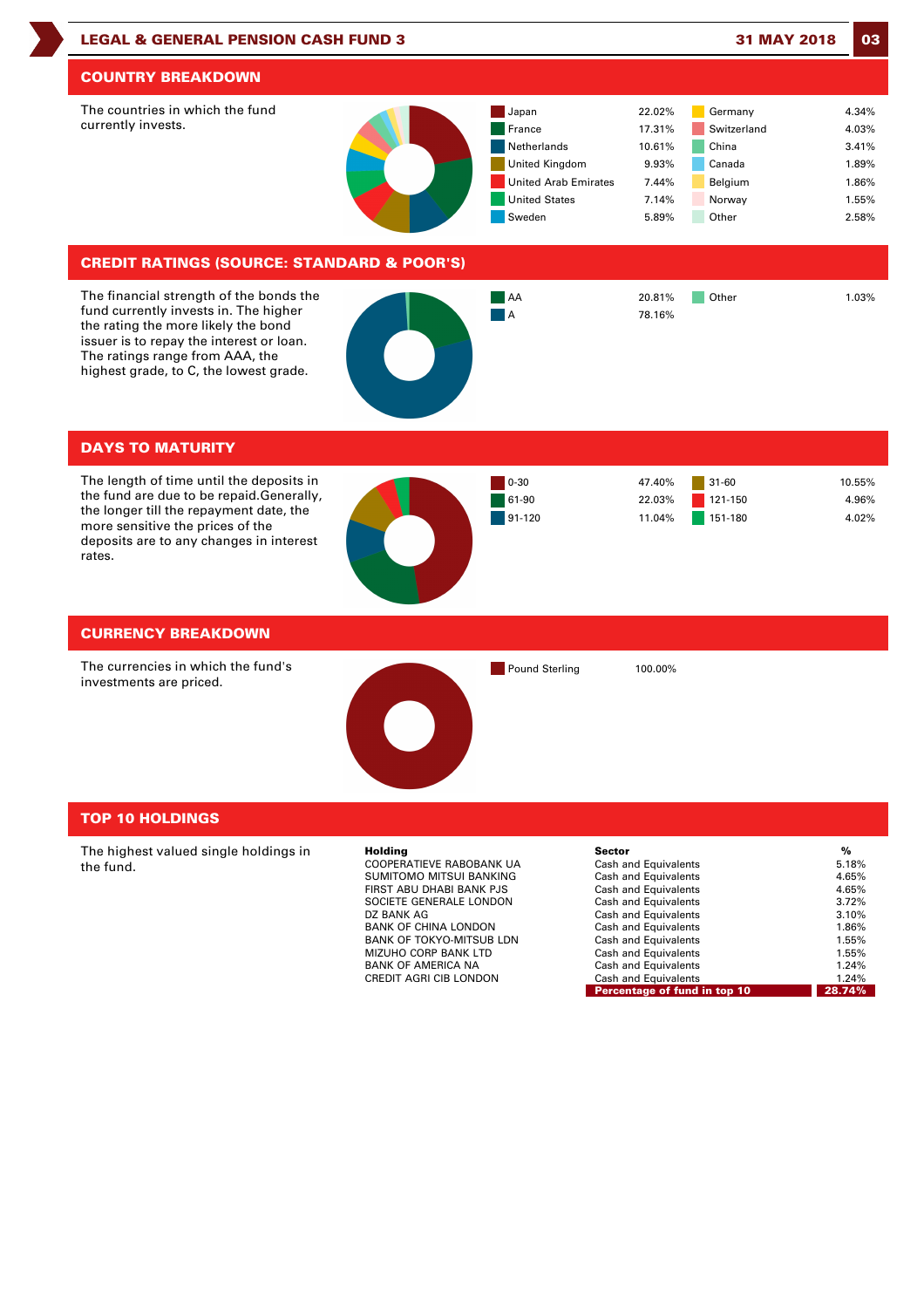



# **TOP 10 HOLDINGS**

The highest valued single holdings in the fund.

| Holding                  | <b>Sector</b>                | %      |
|--------------------------|------------------------------|--------|
| COOPERATIEVE RABOBANK UA | Cash and Equivalents         | 5.18%  |
| SUMITOMO MITSUI BANKING  | Cash and Equivalents         | 4.65%  |
| FIRST ABU DHABI BANK PJS | Cash and Equivalents         | 4.65%  |
| SOCIETE GENERALE LONDON  | Cash and Equivalents         | 3.72%  |
| DZ BANK AG               | Cash and Equivalents         | 3.10%  |
| BANK OF CHINA LONDON     | Cash and Equivalents         | 1.86%  |
| BANK OF TOKYO-MITSUB LDN | Cash and Equivalents         | 1.55%  |
| MIZUHO CORP BANK LTD     | Cash and Equivalents         | 1.55%  |
| BANK OF AMERICA NA       | Cash and Equivalents         | 1.24%  |
| CREDIT AGRI CIB LONDON   | Cash and Equivalents         | 1.24%  |
|                          | Percentage of fund in top 10 | 28.74% |